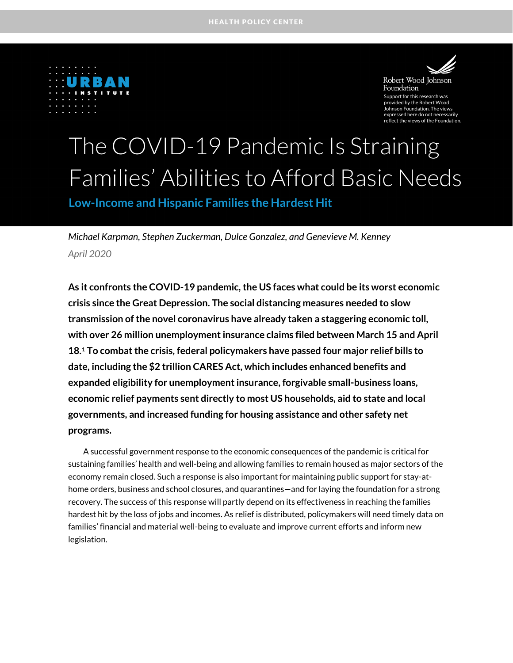



Robert Wood Johnson Foundation Support for this research was ded by the Robert Wood ohnson Foundation. The views d here do not necessarily reflect the views of the Foundation.

# The COVID-19 Pandemic Is Straining Families' Abilities to Afford Basic Needs

**Low-Income and Hispanic Families the Hardest Hit**

*Michael Karpman, Stephen Zuckerman, Dulce Gonzalez, and Genevieve M. Kenney April 2020*

**As it confronts the COVID-19 pandemic, the US faces what could be its worst economic crisis since the Great Depression. The social distancing measures needed to slow transmission of the novel coronavirus have already taken a staggering economic toll, with over 26 million unemployment insurance claims filed between March 15 and April 18.[1](#page-16-0) To combat the crisis, federal policymakers have passed four major relief bills to date, including the \$2 trillion CARES Act, which includes enhanced benefits and expanded eligibility for unemployment insurance, forgivable small-business loans, economic relief payments sent directly to most US households, aid to state and local governments, and increased funding for housing assistance and other safety net programs.**

A successful government response to the economic consequences of the pandemic is critical for sustaining families' health and well-being and allowing families to remain housed as major sectors of the economy remain closed. Such a response is also important for maintaining public support for stay-athome orders, business and school closures, and quarantines—and for laying the foundation for a strong recovery. The success of this response will partly depend on its effectiveness in reaching the families hardest hit by the loss of jobs and incomes. As relief is distributed, policymakers will need timely data on families' financial and material well-being to evaluate and improve current efforts and inform new legislation.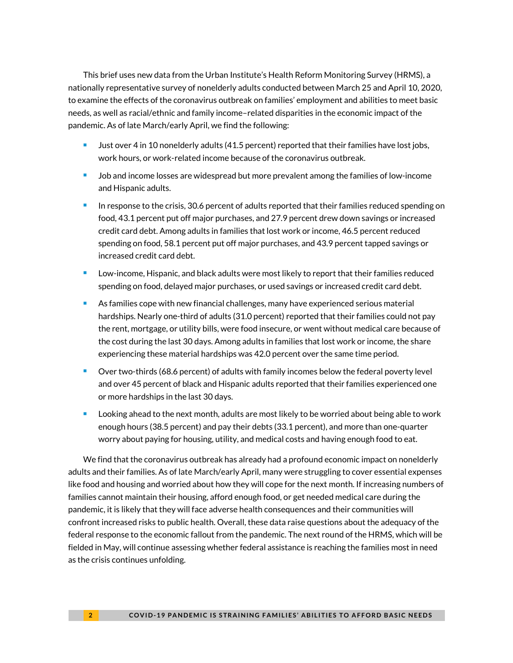This brief uses new data from the Urban Institute's Health Reform Monitoring Survey (HRMS), a nationally representative survey of nonelderly adults conducted between March 25 and April 10, 2020, to examine the effects of the coronavirus outbreak on families' employment and abilities to meet basic needs, as well as racial/ethnic and family income–related disparities in the economic impact of the pandemic. As of late March/early April, we find the following:

- **Just over 4 in 10 nonelderly adults (41.5 percent) reported that their families have lost jobs,** work hours, or work-related income because of the coronavirus outbreak.
- **Job and income losses are widespread but more prevalent among the families of low-income** and Hispanic adults.
- $\blacksquare$  In response to the crisis, 30.6 percent of adults reported that their families reduced spending on food, 43.1 percent put off major purchases, and 27.9 percent drew down savings or increased credit card debt. Among adults in families that lost work or income, 46.5 percent reduced spending on food, 58.1 percent put off major purchases, and 43.9 percent tapped savings or increased credit card debt.
- **Low-income, Hispanic, and black adults were most likely to report that their families reduced** spending on food, delayed major purchases, or used savings or increased credit card debt.
- **As families cope with new financial challenges, many have experienced serious material** hardships. Nearly one-third of adults (31.0 percent) reported that their families could not pay the rent, mortgage, or utility bills, were food insecure, or went without medical care because of the cost during the last 30 days. Among adults in families that lost work or income, the share experiencing these material hardships was 42.0 percent over the same time period.
- Over two-thirds (68.6 percent) of adults with family incomes below the federal poverty level and over 45 percent of black and Hispanic adults reported that their families experienced one or more hardships in the last 30 days.
- Looking ahead to the next month, adults are most likely to be worried about being able to work enough hours (38.5 percent) and pay their debts (33.1 percent), and more than one-quarter worry about paying for housing, utility, and medical costs and having enough food to eat.

We find that the coronavirus outbreak has already had a profound economic impact on nonelderly adults and their families. As of late March/early April, many were struggling to cover essential expenses like food and housing and worried about how they will cope for the next month. If increasing numbers of families cannot maintain their housing, afford enough food, or get needed medical care during the pandemic, it is likely that they will face adverse health consequences and their communities will confront increased risks to public health. Overall, these data raise questions about the adequacy of the federal response to the economic fallout from the pandemic. The next round of the HRMS, which will be fielded in May, will continue assessing whether federal assistance is reaching the families most in need as the crisis continues unfolding.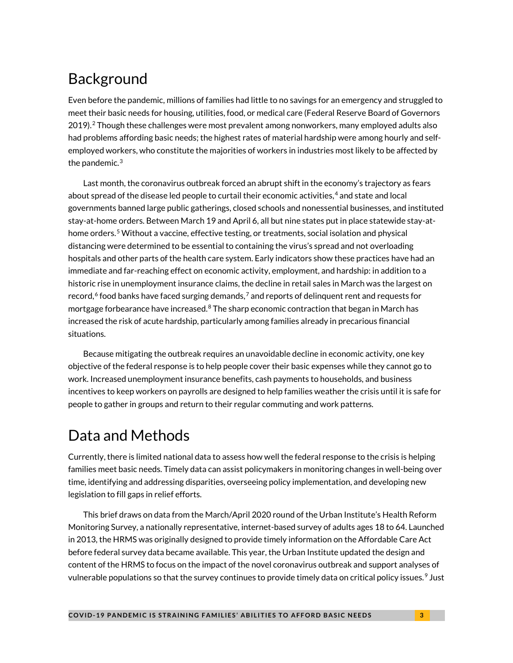# Background

Even before the pandemic, millions of families had little to no savings for an emergency and struggled to meet their basic needs for housing, utilities, food, or medical care (Federal Reserve Board of Governors 2019).[2](#page-16-1) Though these challenges were most prevalent among nonworkers, many employed adults also had problems affording basic needs; the highest rates of material hardship were among hourly and selfemployed workers, who constitute the majorities of workers in industries most likely to be affected by the pandemic. $3$ 

Last month, the coronavirus outbreak forced an abrupt shift in the economy's trajectory as fears about spread of the disease led people to curtail their economic activities, [4](#page-16-3) and state and local governments banned large public gatherings, closed schools and nonessential businesses, and instituted stay-at-home orders. Between March 19 and April 6, all but nine states put in place statewide stay-athome orders. [5](#page-16-4) Without a vaccine, effective testing, or treatments, social isolation and physical distancing were determined to be essential to containing the virus's spread and not overloading hospitals and other parts of the health care system. Early indicators show these practices have had an immediate and far-reaching effect on economic activity, employment, and hardship: in addition to a historic rise in unemployment insurance claims, the decline in retail sales in March was the largest on record,  $6$  food banks have faced surging demands,  $7$  and reports of delinquent rent and requests for mortgage forbearance have increased.<sup>[8](#page-16-7)</sup> The sharp economic contraction that began in March has increased the risk of acute hardship, particularly among families already in precarious financial situations.

Because mitigating the outbreak requires an unavoidable decline in economic activity, one key objective of the federal response is to help people cover their basic expenses while they cannot go to work. Increased unemployment insurance benefits, cash payments to households, and business incentives to keep workers on payrolls are designed to help families weather the crisis until it is safe for people to gather in groups and return to their regular commuting and work patterns.

# Data and Methods

Currently, there is limited national data to assess how well the federal response to the crisis is helping families meet basic needs. Timely data can assist policymakers in monitoring changes in well-being over time, identifying and addressing disparities, overseeing policy implementation, and developing new legislation to fill gaps in relief efforts.

This brief draws on data from the March/April 2020 round of the Urban Institute's Health Reform Monitoring Survey, a nationally representative, internet-based survey of adults ages 18 to 64. Launched in 2013, the HRMS was originally designed to provide timely information on the Affordable Care Act before federal survey data became available. This year, the Urban Institute updated the design and content of the HRMS to focus on the impact of the novel coronavirus outbreak and support analyses of vulnerable populations so that the survey continues to provide timely data on critical policy issues.<sup>[9](#page-16-8)</sup> Just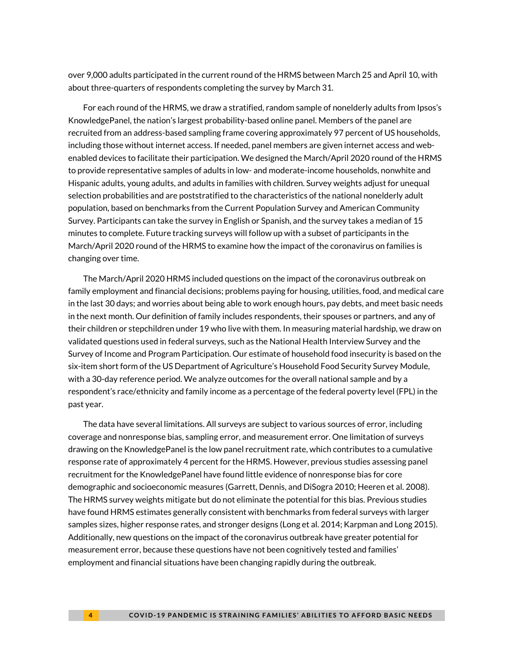over 9,000 adults participated in the current round of the HRMS between March 25 and April 10, with about three-quarters of respondents completing the survey by March 31.

For each round of the HRMS, we draw a stratified, random sample of nonelderly adults from Ipsos's KnowledgePanel, the nation's largest probability-based online panel. Members of the panel are recruited from an address-based sampling frame covering approximately 97 percent of US households, including those without internet access. If needed, panel members are given internet access and webenabled devices to facilitate their participation. We designed the March/April 2020 round of the HRMS to provide representative samples of adults in low- and moderate-income households, nonwhite and Hispanic adults, young adults, and adults in families with children. Survey weights adjust for unequal selection probabilities and are poststratified to the characteristics of the national nonelderly adult population, based on benchmarks from the Current Population Survey and American Community Survey. Participants can take the survey in English or Spanish, and the survey takes a median of 15 minutes to complete. Future tracking surveys will follow up with a subset of participants in the March/April 2020 round of the HRMS to examine how the impact of the coronavirus on families is changing over time.

The March/April 2020 HRMS included questions on the impact of the coronavirus outbreak on family employment and financial decisions; problems paying for housing, utilities, food, and medical care in the last 30 days; and worries about being able to work enough hours, pay debts, and meet basic needs in the next month. Our definition of family includes respondents, their spouses or partners, and any of their children or stepchildren under 19 who live with them. In measuring material hardship, we draw on validated questions used in federal surveys, such as the National Health Interview Survey and the Survey of Income and Program Participation. Our estimate of household food insecurity is based on the six-item short form of the US Department of Agriculture's Household Food Security Survey Module, with a 30-day reference period. We analyze outcomes for the overall national sample and by a respondent's race/ethnicity and family income as a percentage of the federal poverty level (FPL) in the past year.

The data have several limitations. All surveys are subject to various sources of error, including coverage and nonresponse bias, sampling error, and measurement error. One limitation of surveys drawing on the KnowledgePanel is the low panel recruitment rate, which contributes to a cumulative response rate of approximately 4 percent for the HRMS. However, previous studies assessing panel recruitment for the KnowledgePanel have found little evidence of nonresponse bias for core demographic and socioeconomic measures (Garrett, Dennis, and DiSogra 2010; Heeren et al. 2008). The HRMS survey weights mitigate but do not eliminate the potential for this bias. Previous studies have found HRMS estimates generally consistent with benchmarks from federal surveys with larger samples sizes, higher response rates, and stronger designs (Long et al. 2014; Karpman and Long 2015). Additionally, new questions on the impact of the coronavirus outbreak have greater potential for measurement error, because these questions have not been cognitively tested and families' employment and financial situations have been changing rapidly during the outbreak.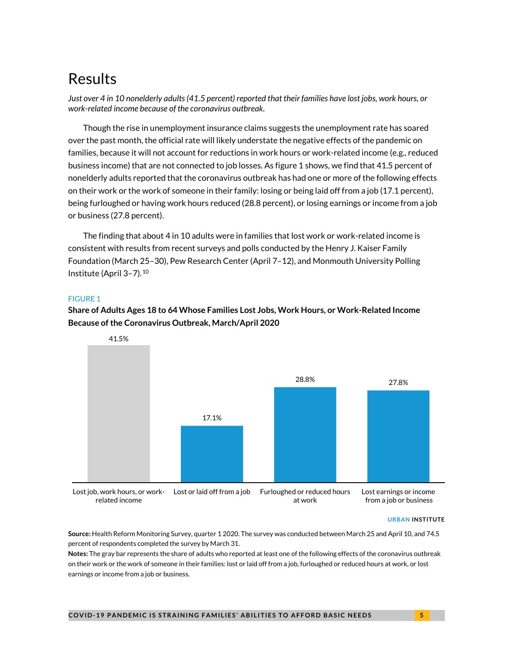# Results

*Just over 4 in 10 nonelderly adults(41.5 percent) reported that their families have lost jobs, work hours, or work-related income because of the coronavirus outbreak.*

Though the rise in unemployment insurance claims suggests the unemployment rate has soared over the past month, the official rate will likely understate the negative effects of the pandemic on families, because it will not account for reductions in work hours or work-related income (e.g., reduced business income) that are not connected to job losses. As figure 1 shows, we find that 41.5 percent of nonelderly adults reported that the coronavirus outbreak has had one or more of the following effects on their work or the work of someone in their family: losing or being laid off from a job (17.1 percent), being furloughed or having work hours reduced (28.8 percent), or losing earnings or income from a job or business (27.8 percent).

The finding that about 4 in 10 adults were in families that lost work or work-related income is consistent with results from recent surveys and polls conducted by the Henry J. Kaiser Family Foundation (March 25–30), Pew Research Center (April 7–12), and Monmouth University Polling Institute (April 3–7).[10](#page-16-9)

### FIGURE 1

**Share of Adults Ages 18 to 64 Whose Families Lost Jobs, Work Hours, or Work-Related Income Because of the Coronavirus Outbreak, March/April 2020**



**URBAN INSTITUTE**

**Source:** Health Reform Monitoring Survey, quarter 1 2020. The survey was conducted between March 25 and April 10, and 74.5 percent of respondents completed the survey by March 31.

**Notes:** The gray bar represents the share of adults who reported at least one of the following effects of the coronavirus outbreak on their work or the work of someone in their families: lost or laid off from a job, furloughed or reduced hours at work, or lost earnings or income from a job or business.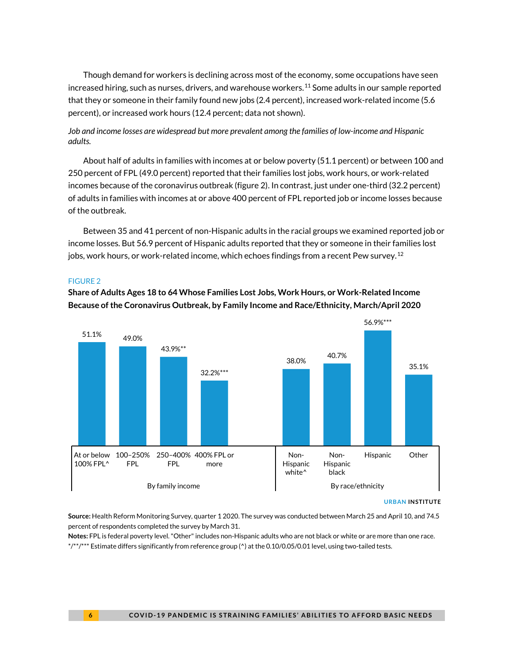Though demand for workers is declining across most of the economy, some occupations have seen increased hiring, such as nurses, drivers, and warehouse workers.<sup>[11](#page-16-10)</sup> Some adults in our sample reported that they or someone in their family found new jobs (2.4 percent), increased work-related income (5.6 percent), or increased work hours (12.4 percent; data not shown).

### *Job and income losses are widespread but more prevalent among the families of low-income and Hispanic adults.*

About half of adults in families with incomes at or below poverty (51.1 percent) or between 100 and 250 percent of FPL (49.0 percent) reported that their families lost jobs, work hours, or work-related incomes because of the coronavirus outbreak (figure 2). In contrast, just under one-third (32.2 percent) of adults in families with incomes at or above 400 percent of FPL reported job or income losses because of the outbreak.

Between 35 and 41 percent of non-Hispanic adults in the racial groups we examined reported job or income losses. But 56.9 percent of Hispanic adults reported that they or someone in their families lost jobs, work hours, or work-related income, which echoes findings from a recent Pew survey.[12](#page-16-11)

### FIGURE 2

**Share of Adults Ages 18 to 64 Whose Families Lost Jobs, Work Hours, or Work-Related Income Because of the Coronavirus Outbreak, by Family Income and Race/Ethnicity, March/April 2020**



#### **URBAN INSTITUTE**

**Source:** Health Reform Monitoring Survey, quarter 1 2020. The survey was conducted between March 25 and April 10, and 74.5 percent of respondents completed the survey by March 31.

**Notes:** FPL is federal poverty level."Other" includes non-Hispanic adults who are not black or white or are more than one race. \*/\*\*/\*\*\* Estimate differs significantly from reference group (^) at the 0.10/0.05/0.01 level, using two-tailed tests.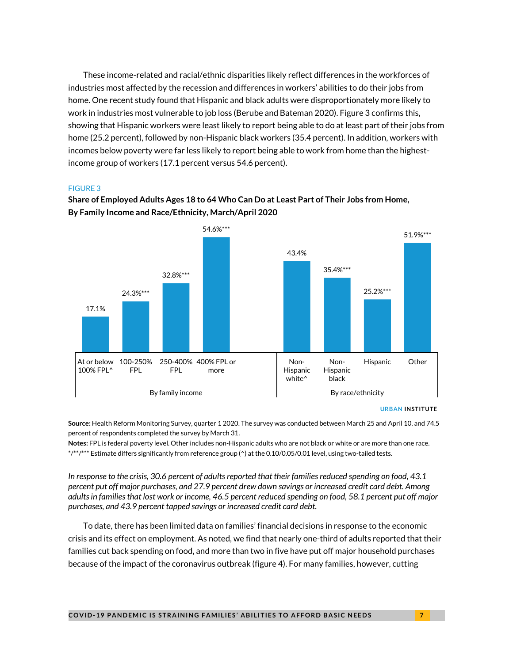These income-related and racial/ethnic disparities likely reflect differences in the workforces of industries most affected by the recession and differences in workers' abilities to do their jobs from home. One recent study found that Hispanic and black adults were disproportionately more likely to work in industries most vulnerable to job loss (Berube and Bateman 2020). Figure 3 confirms this, showing that Hispanic workers were least likely to report being able to do at least part of their jobs from home (25.2 percent), followed by non-Hispanic black workers (35.4 percent). In addition, workers with incomes below poverty were far less likely to report being able to work from home than the highestincome group of workers (17.1 percent versus 54.6 percent).

### FIGURE 3



# **Share of Employed Adults Ages 18 to 64 Who Can Do at Least Part of Their Jobs from Home, By Family Income and Race/Ethnicity, March/April 2020**

**URBAN INSTITUTE**

**Source:** Health Reform Monitoring Survey, quarter 1 2020. The survey was conducted between March 25 and April 10, and 74.5 percent of respondents completed the survey by March 31.

**Notes:** FPL is federal poverty level. Other includes non-Hispanic adults who are not black or white or are more than one race. \*/\*\*/\*\*\* Estimate differs significantly from reference group (^) at the 0.10/0.05/0.01 level, using two-tailed tests.

*In response to the crisis, 30.6 percent of adults reported that their families reduced spending on food, 43.1 percent put off major purchases, and 27.9 percent drew down savings or increased credit card debt. Among adults in families that lost work or income, 46.5 percent reduced spending on food, 58.1 percent put off major purchases, and 43.9 percent tapped savings or increased credit card debt.* 

To date, there has been limited data on families' financial decisions in response to the economic crisis and its effect on employment. As noted, we find that nearly one-third of adults reported that their families cut back spending on food, and more than two in five have put off major household purchases because of the impact of the coronavirus outbreak (figure 4). For many families, however, cutting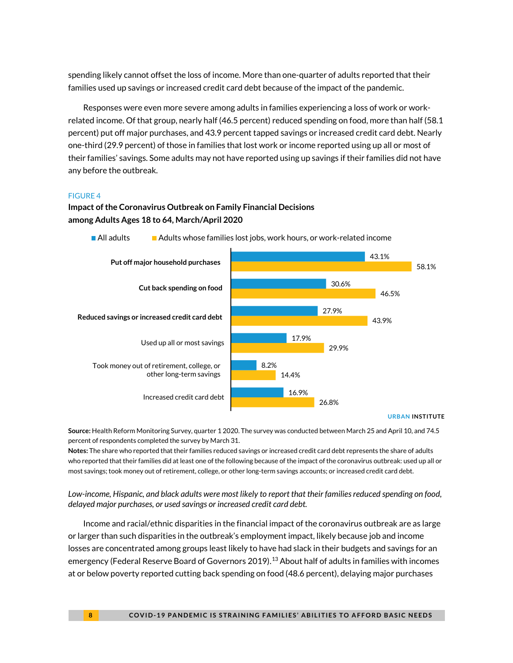spending likely cannot offset the loss of income. More than one-quarter of adults reported that their families used up savings or increased credit card debt because of the impact of the pandemic.

Responses were even more severe among adults in families experiencing a loss of work or workrelated income. Of that group, nearly half (46.5 percent) reduced spending on food, more than half (58.1 percent) put off major purchases, and 43.9 percent tapped savings or increased credit card debt. Nearly one-third (29.9 percent) of those in families that lost work or income reported using up all or most of their families' savings. Some adults may not have reported using up savings if their families did not have any before the outbreak.

### FIGURE 4

### **Impact of the Coronavirus Outbreak on Family Financial Decisions among Adults Ages 18 to 64, March/April 2020**



**All adults** Adults whose families lost jobs, work hours, or work-related income

#### **URBAN INSTITUTE**

**Source:** Health Reform Monitoring Survey, quarter 1 2020. The survey was conducted between March 25 and April 10, and 74.5 percent of respondents completed the survey by March 31.

**Notes:** The share who reported that their families reduced savings or increased credit card debt represents the share of adults who reported that their families did at least one of the following because of the impact of the coronavirus outbreak: used up all or most savings; took money out of retirement, college, or other long-term savings accounts; or increased credit card debt.

*Low-income, Hispanic, and black adults were most likely to report that their families reduced spending on food, delayed major purchases, or used savings or increased credit card debt.*

Income and racial/ethnic disparities in the financial impact of the coronavirus outbreak are as large or larger than such disparities in the outbreak's employment impact, likely because job and income losses are concentrated among groups least likely to have had slack in their budgets and savings for an emergency (Federal Reserve Board of Governors 2019).<sup>[13](#page-16-12)</sup> About half of adults in families with incomes at or below poverty reported cutting back spending on food (48.6 percent), delaying major purchases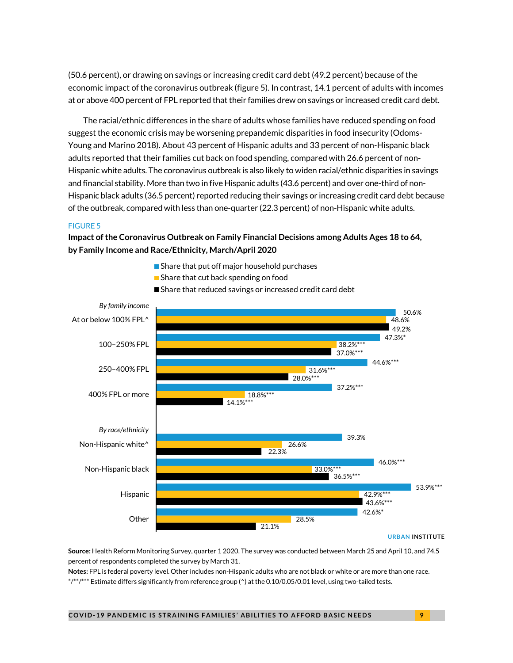(50.6 percent), or drawing on savings or increasing credit card debt (49.2 percent) because of the economic impact of the coronavirus outbreak (figure 5). In contrast, 14.1 percent of adults with incomes at or above 400 percent of FPL reported that their families drew on savings or increased credit card debt.

The racial/ethnic differences in the share of adults whose families have reduced spending on food suggest the economic crisis may be worsening prepandemic disparities in food insecurity (Odoms-Young and Marino 2018). About 43 percent of Hispanic adults and 33 percent of non-Hispanic black adults reported that their families cut back on food spending, compared with 26.6 percent of non-Hispanic white adults. The coronavirus outbreak is also likely to widen racial/ethnic disparities in savings and financial stability. More than two in five Hispanic adults (43.6 percent) and over one-third of non-Hispanic black adults (36.5 percent) reported reducing their savings or increasing credit card debt because of the outbreak, compared with less than one-quarter (22.3 percent) of non-Hispanic white adults.

### FIGURE 5

**Impact of the Coronavirus Outbreak on Family Financial Decisions among Adults Ages 18 to 64, by Family Income and Race/Ethnicity, March/April 2020**

- 50.6% 47.3%\* 44.6%\*\*\* 37.2%\*\*\* 39.3% 46.0%\*\*\* 53.9%\*\*\* 42.6%\* 48.6% 38.2%\*\*\* 31.6%\* 18.8%\*\*\* 26.6% 33.0%\*\*\* 42.9%\*\*\* 28.5% 49.2% 37.0%\*\*\* 28.0%\*\*\* 14.1% 22.3% 36.5%\*\*\* 43.6%\*\*\* 21.1% At or below 100% FPL^ 100–250% FPL 250–400% FPL 400% FPL or more Non-Hispanic white^ Non-Hispanic black Hispanic **Other** *By family income By race/ethnicity*
- Share that put off major household purchases
- Share that cut back spending on food
- Share that reduced savings or increased credit card debt

#### **URBAN INSTITUTE**

**Source:** Health Reform Monitoring Survey, quarter 1 2020. The survey was conducted between March 25 and April 10, and 74.5 percent of respondents completed the survey by March 31.

**Notes:** FPL is federal poverty level. Other includes non-Hispanic adults who are not black or white or are more than one race. \*/\*\*/\*\*\* Estimate differs significantly from reference group (^) at the 0.10/0.05/0.01 level, using two-tailed tests.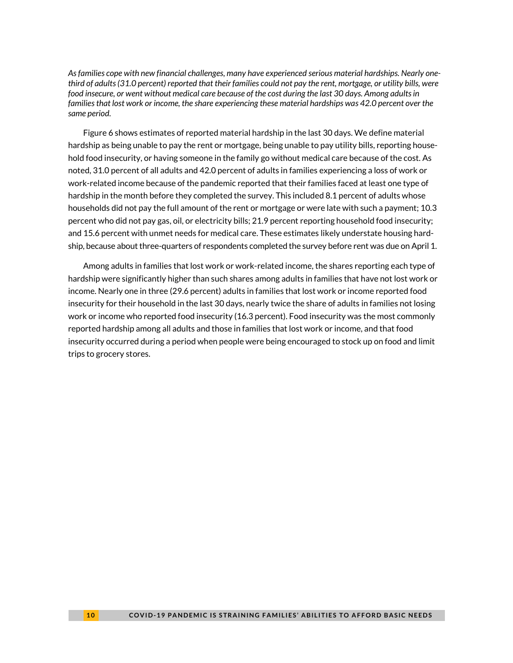*As families cope with new financial challenges, many have experienced serious material hardships. Nearly onethird of adults (31.0 percent) reported that their families could not pay the rent, mortgage, or utility bills, were food insecure, or went without medical care because of the cost during the last 30 days. Among adults in families that lost work or income, the share experiencing these material hardships was 42.0 percent over the same period.*

Figure 6 shows estimates of reported material hardship in the last 30 days. We define material hardship as being unable to pay the rent or mortgage, being unable to pay utility bills, reporting household food insecurity, or having someone in the family go without medical care because of the cost. As noted, 31.0 percent of all adults and 42.0 percent of adults in families experiencing a loss of work or work-related income because of the pandemic reported that their families faced at least one type of hardship in the month before they completed the survey. This included 8.1 percent of adults whose households did not pay the full amount of the rent or mortgage or were late with such a payment; 10.3 percent who did not pay gas, oil, or electricity bills; 21.9 percent reporting household food insecurity; and 15.6 percent with unmet needs for medical care. These estimates likely understate housing hardship, because about three-quarters of respondents completed the survey before rent was due on April 1.

Among adults in families that lost work or work-related income, the shares reporting each type of hardship were significantly higher than such shares among adults in families that have not lost work or income. Nearly one in three (29.6 percent) adults in families that lost work or income reported food insecurity for their household in the last 30 days, nearly twice the share of adults in families not losing work or income who reported food insecurity (16.3 percent). Food insecurity was the most commonly reported hardship among all adults and those in families that lost work or income, and that food insecurity occurred during a period when people were being encouraged to stock up on food and limit trips to grocery stores.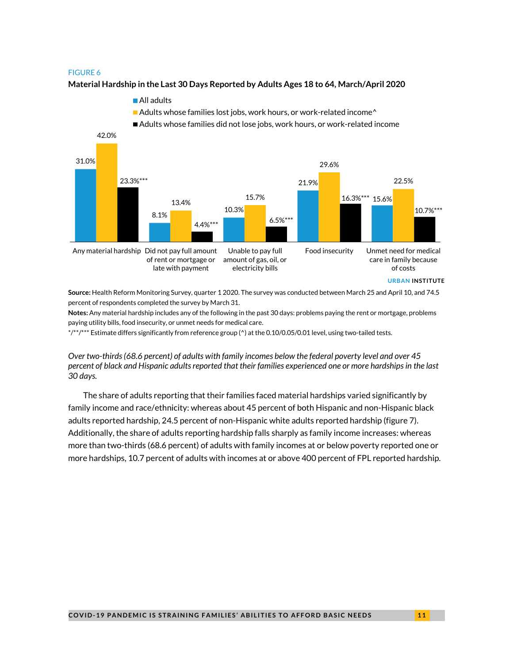#### FIGURE 6

#### **Material Hardship in the Last 30 Days Reported by Adults Ages 18 to 64, March/April 2020**



**Source:** Health Reform Monitoring Survey, quarter 1 2020. The survey was conducted between March 25 and April 10, and 74.5 percent of respondents completed the survey by March 31.

**Notes:** Any material hardship includes any of the following in the past 30 days: problems paying the rent or mortgage, problems paying utility bills, food insecurity, or unmet needs for medical care.

\*/\*\*/\*\*\* Estimate differs significantly from reference group (^) at the 0.10/0.05/0.01 level, using two-tailed tests.

*Over two-thirds (68.6 percent) of adults with family incomes below the federal poverty level and over 45 percent of black and Hispanic adults reported that their families experienced one or more hardships in the last 30 days.*

The share of adults reporting that their families faced material hardships varied significantly by family income and race/ethnicity: whereas about 45 percent of both Hispanic and non-Hispanic black adults reported hardship, 24.5 percent of non-Hispanic white adults reported hardship (figure 7). Additionally, the share of adults reporting hardship falls sharply as family income increases: whereas more than two-thirds (68.6 percent) of adults with family incomes at or below poverty reported one or more hardships, 10.7 percent of adults with incomes at or above 400 percent of FPL reported hardship.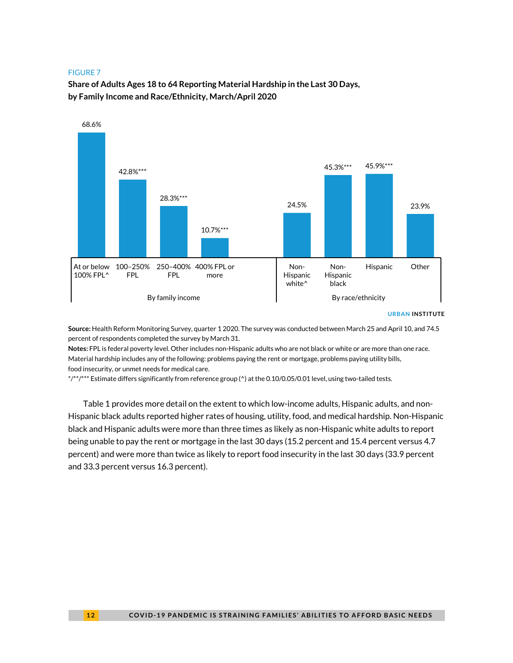#### FIGURE 7

**Share of Adults Ages 18 to 64 Reporting Material Hardship in the Last 30 Days, by Family Income and Race/Ethnicity, March/April 2020**



#### **URBAN INSTITUTE**

**Source:** Health Reform Monitoring Survey, quarter 1 2020. The survey was conducted between March 25 and April 10, and 74.5 percent of respondents completed the survey by March 31.

**Notes:** FPL is federal poverty level. Other includes non-Hispanic adults who are not black or white or are more than one race. Material hardship includes any of the following: problems paying the rent or mortgage, problems paying utility bills, food insecurity, or unmet needs for medical care.

\*/\*\*/\*\*\* Estimate differs significantly from reference group (^) at the 0.10/0.05/0.01 level, using two-tailed tests.

Table 1 provides more detail on the extent to which low-income adults, Hispanic adults, and non-Hispanic black adults reported higher rates of housing, utility, food, and medical hardship. Non-Hispanic black and Hispanic adults were more than three times as likely as non-Hispanic white adults to report being unable to pay the rent or mortgage in the last 30 days (15.2 percent and 15.4 percent versus 4.7 percent) and were more than twice as likely to report food insecurity in the last 30 days (33.9 percent and 33.3 percent versus 16.3 percent).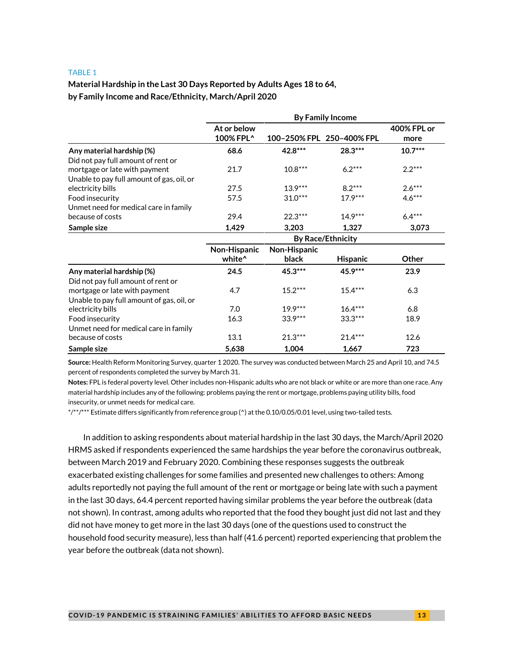#### TABLE 1

# **Material Hardship in the Last 30 Days Reported by Adults Ages 18 to 64, by Family Income and Race/Ethnicity, March/April 2020**

|                                           | <b>By Family Income</b>  |              |                           |                     |
|-------------------------------------------|--------------------------|--------------|---------------------------|---------------------|
|                                           | At or below<br>100% FPL^ |              | 100-250% FPL 250-400% FPL | 400% FPL or<br>more |
| Any material hardship (%)                 | 68.6                     | 42.8***      | 28.3***                   | $10.7***$           |
| Did not pay full amount of rent or        |                          |              |                           |                     |
| mortgage or late with payment             | 21.7                     | $10.8***$    | $6.2***$                  | $2.2***$            |
| Unable to pay full amount of gas, oil, or |                          |              |                           |                     |
| electricity bills                         | 27.5                     | $13.9***$    | $8.2***$                  | $2.6***$            |
| Food insecurity                           | 57.5                     | $31.0***$    | $17.9***$                 | $4.6***$            |
| Unmet need for medical care in family     |                          |              |                           |                     |
| because of costs                          | 29.4                     | $22.3***$    | $14.9***$                 | $6.4***$            |
| Sample size                               | 1,429                    | 3,203        | 1,327                     | 3,073               |
|                                           | <b>By Race/Ethnicity</b> |              |                           |                     |
|                                           | Non-Hispanic             | Non-Hispanic |                           |                     |
|                                           | white <sup>^</sup>       | black        | <b>Hispanic</b>           | Other               |
| Any material hardship (%)                 | 24.5                     | $45.3***$    | $45.9***$                 | 23.9                |
| Did not pay full amount of rent or        |                          |              |                           |                     |
| mortgage or late with payment             | 4.7                      | $15.2***$    | $15.4***$                 | 6.3                 |
| Unable to pay full amount of gas, oil, or |                          |              |                           |                     |
| electricity bills                         | 7.0                      | $19.9***$    | $16.4***$                 | 6.8                 |
| Food insecurity                           | 16.3                     | $33.9***$    | $33.3***$                 | 18.9                |
| Unmet need for medical care in family     |                          |              |                           |                     |
| because of costs                          | 13.1                     | $21.3***$    | $21.4***$                 | 12.6                |
| Sample size                               | 5,638                    | 1,004        | 1,667                     | 723                 |

**Source:** Health Reform Monitoring Survey, quarter 1 2020. The survey was conducted between March 25 and April 10, and 74.5 percent of respondents completed the survey by March 31.

**Notes:** FPL is federal poverty level. Other includes non-Hispanic adults who are not black or white or are more than one race. Any material hardship includes any of the following: problems paying the rent or mortgage, problems paying utility bills, food insecurity, or unmet needs for medical care.

\*/\*\*/\*\*\* Estimate differs significantly from reference group (^) at the 0.10/0.05/0.01 level, using two-tailed tests.

In addition to asking respondents about material hardship in the last 30 days, the March/April 2020 HRMS asked if respondents experienced the same hardships the year before the coronavirus outbreak, between March 2019 and February 2020. Combining these responses suggests the outbreak exacerbated existing challenges for some families and presented new challenges to others: Among adults reportedly not paying the full amount of the rent or mortgage or being late with such a payment in the last 30 days, 64.4 percent reported having similar problems the year before the outbreak (data not shown). In contrast, among adults who reported that the food they bought just did not last and they did not have money to get more in the last 30 days (one of the questions used to construct the household food security measure), less than half (41.6 percent) reported experiencing that problem the year before the outbreak (data not shown).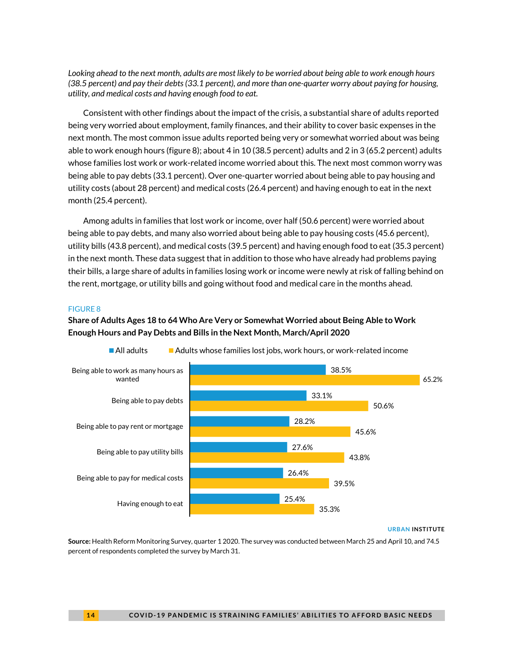*Looking ahead to the next month, adults are most likely to be worried about being able to work enough hours (38.5 percent) and pay their debts (33.1 percent), and more than one-quarter worry about paying for housing, utility, and medical costs and having enough food to eat.*

Consistent with other findings about the impact of the crisis, a substantial share of adults reported being very worried about employment, family finances, and their ability to cover basic expenses in the next month. The most common issue adults reported being very or somewhat worried about was being able to work enough hours (figure 8); about 4 in 10 (38.5 percent) adults and 2 in 3 (65.2 percent) adults whose families lost work or work-related income worried about this. The next most common worry was being able to pay debts (33.1 percent). Over one-quarter worried about being able to pay housing and utility costs (about 28 percent) and medical costs (26.4 percent) and having enough to eat in the next month (25.4 percent).

Among adults in families that lost work or income, over half (50.6 percent) were worried about being able to pay debts, and many also worried about being able to pay housing costs (45.6 percent), utility bills (43.8 percent), and medical costs (39.5 percent) and having enough food to eat (35.3 percent) in the next month. These data suggest that in addition to those who have already had problems paying their bills, a large share of adults in families losing work or income were newly at risk of falling behind on the rent, mortgage, or utility bills and going without food and medical care in the months ahead.

### FIGURE 8

## **Share of Adults Ages 18 to 64 Who Are Very or Somewhat Worried about Being Able to Work Enough Hours and Pay Debts and Bills in the Next Month, March/April 2020**



 $\blacksquare$  All adults  $\blacksquare$  Adults whose families lost jobs, work hours, or work-related income

#### **URBAN INSTITUTE**

**Source:** Health Reform Monitoring Survey, quarter 1 2020. The survey was conducted between March 25 and April 10, and 74.5 percent of respondents completed the survey by March 31.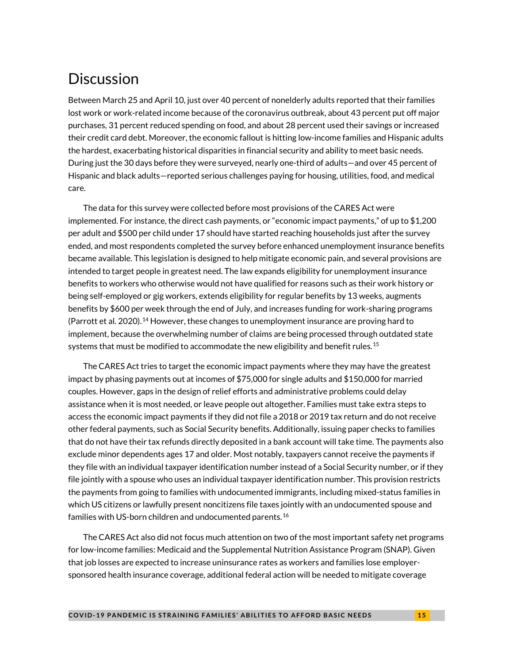# **Discussion**

Between March 25 and April 10, just over 40 percent of nonelderly adults reported that their families lost work or work-related income because of the coronavirus outbreak, about 43 percent put off major purchases, 31 percent reduced spending on food, and about 28 percent used their savings or increased their credit card debt. Moreover, the economic fallout is hitting low-income families and Hispanic adults the hardest, exacerbating historical disparities in financial security and ability to meet basic needs. During just the 30 days before they were surveyed, nearly one-third of adults—and over 45 percent of Hispanic and black adults—reported serious challenges paying for housing, utilities, food, and medical care.

The data for this survey were collected before most provisions of the CARES Act were implemented. For instance, the direct cash payments, or "economic impact payments," of up to \$1,200 per adult and \$500 per child under 17 should have started reaching households just after the survey ended, and most respondents completed the survey before enhanced unemployment insurance benefits became available. This legislation is designed to help mitigate economic pain, and several provisions are intended to target people in greatest need. The law expands eligibility for unemployment insurance benefits to workers who otherwise would not have qualified for reasons such as their work history or being self-employed or gig workers, extends eligibility for regular benefits by 13 weeks, augments benefits by \$600 per week through the end of July, and increases funding for work-sharing programs (Parrott et al. 2020).<sup>[14](#page-16-13)</sup> However, these changes to unemployment insurance are proving hard to implement, because the overwhelming number of claims are being processed through outdated state systems that must be modified to accommodate the new eligibility and benefit rules.<sup>[15](#page-16-14)</sup>

The CARES Act tries to target the economic impact payments where they may have the greatest impact by phasing payments out at incomes of \$75,000 for single adults and \$150,000 for married couples. However, gaps in the design of relief efforts and administrative problems could delay assistance when it is most needed, or leave people out altogether. Families must take extra steps to access the economic impact payments if they did not file a 2018 or 2019 tax return and do not receive other federal payments, such as Social Security benefits. Additionally, issuing paper checks to families that do not have their tax refunds directly deposited in a bank account will take time. The payments also exclude minor dependents ages 17 and older. Most notably, taxpayers cannot receive the payments if they file with an individual taxpayer identification number instead of a Social Security number, or if they file jointly with a spouse who uses an individual taxpayer identification number. This provision restricts the payments from going to families with undocumented immigrants, including mixed-status families in which US citizens or lawfully present noncitizens file taxes jointly with an undocumented spouse and families with US-born children and undocumented parents. [16](#page-16-15)

The CARES Act also did not focus much attention on two of the most important safety net programs for low-income families: Medicaid and the Supplemental Nutrition Assistance Program (SNAP). Given that job losses are expected to increase uninsurance rates as workers and families lose employersponsored health insurance coverage, additional federal action will be needed to mitigate coverage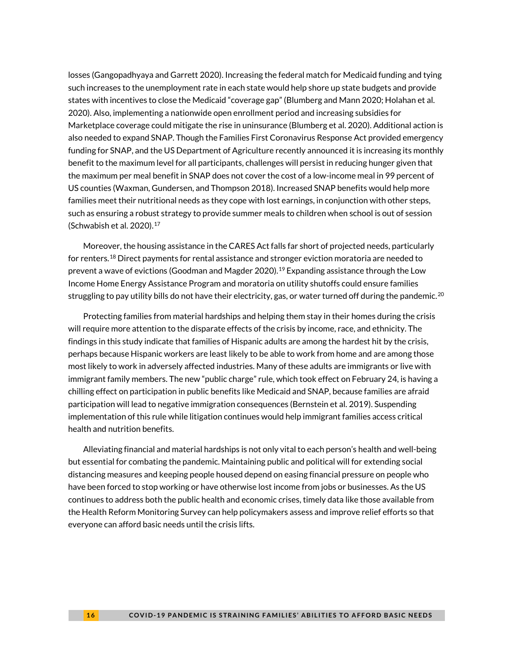losses (Gangopadhyaya and Garrett 2020). Increasing the federal match for Medicaid funding and tying such increases to the unemployment rate in each state would help shore up state budgets and provide states with incentives to close the Medicaid "coverage gap" (Blumberg and Mann 2020; Holahan et al. 2020). Also, implementing a nationwide open enrollment period and increasing subsidies for Marketplace coverage could mitigate the rise in uninsurance (Blumberg et al. 2020). Additional action is also needed to expand SNAP. Though the Families First Coronavirus Response Act provided emergency funding for SNAP, and the US Department of Agriculture recently announced it is increasing its monthly benefit to the maximum level for all participants, challenges will persist in reducing hunger given that the maximum per meal benefit in SNAP does not cover the cost of a low-income meal in 99 percent of US counties (Waxman, Gundersen, and Thompson 2018). Increased SNAP benefits would help more families meet their nutritional needs as they cope with lost earnings, in conjunction with other steps, such as ensuring a robust strategy to provide summer meals to children when school is out of session (Schwabish et al. 2020).[17](#page-16-16)

Moreover, the housing assistance in the CARES Act falls far short of projected needs, particularly for renters.<sup>[18](#page-16-17)</sup> Direct payments for rental assistance and stronger eviction moratoria are needed to prevent a wave of evictions (Goodman and Magder 2020).<sup>[19](#page-16-18)</sup> Expanding assistance through the Low Income Home Energy Assistance Program and moratoria on utility shutoffs could ensure families struggling to pay utility bills do not have their electricity, gas, or water turned off during the pandemic.<sup>[20](#page-16-19)</sup>

Protecting families from material hardships and helping them stay in their homes during the crisis will require more attention to the disparate effects of the crisis by income, race, and ethnicity. The findings in this study indicate that families of Hispanic adults are among the hardest hit by the crisis, perhaps because Hispanic workers are least likely to be able to work from home and are among those most likely to work in adversely affected industries. Many of these adults are immigrants or live with immigrant family members. The new "public charge" rule, which took effect on February 24, is having a chilling effect on participation in public benefits like Medicaid and SNAP, because families are afraid participation will lead to negative immigration consequences (Bernstein et al. 2019). Suspending implementation of this rule while litigation continues would help immigrant families access critical health and nutrition benefits.

Alleviating financial and material hardships is not only vital to each person's health and well-being but essential for combating the pandemic. Maintaining public and political will for extending social distancing measures and keeping people housed depend on easing financial pressure on people who have been forced to stop working or have otherwise lost income from jobs or businesses. As the US continues to address both the public health and economic crises, timely data like those available from the Health Reform Monitoring Survey can help policymakers assess and improve relief efforts so that everyone can afford basic needs until the crisis lifts.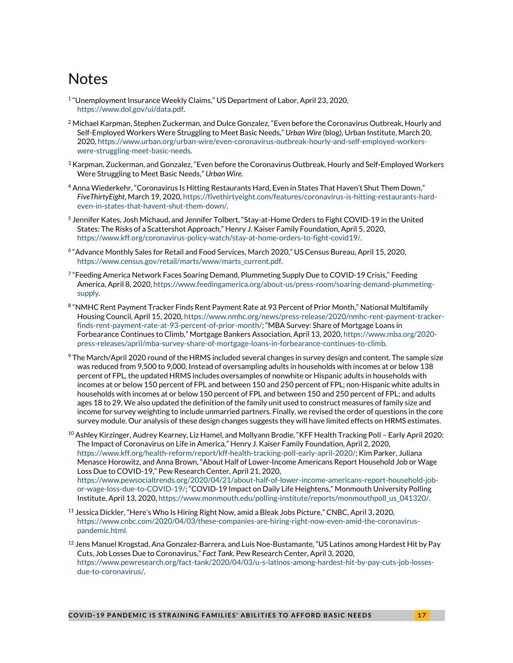# <span id="page-16-12"></span>Notes

- <span id="page-16-13"></span><span id="page-16-0"></span><sup>1</sup> "Unemployment Insurance Weekly Claims," US Department of Labor, April 23, 2020, [https://www.dol.gov/ui/data.pdf.](https://www.dol.gov/ui/data.pdf)
- <span id="page-16-14"></span><span id="page-16-1"></span><sup>2</sup> Michael Karpman, Stephen Zuckerman, and Dulce Gonzalez, "Even before the Coronavirus Outbreak, Hourly and Self-Employed Workers Were Struggling to Meet Basic Needs," *Urban Wire* (blog), Urban Institute, March 20, 2020[, https://www.urban.org/urban-wire/even-coronavirus-outbreak-hourly-and-self-employed-workers](https://www.urban.org/urban-wire/even-coronavirus-outbreak-hourly-and-self-employed-workers-were-struggling-meet-basic-needs)[were-struggling-meet-basic-needs.](https://www.urban.org/urban-wire/even-coronavirus-outbreak-hourly-and-self-employed-workers-were-struggling-meet-basic-needs)
- <span id="page-16-2"></span> $^3$  Karpman, Zuckerman, and Gonzalez, "Even before the Coronavirus Outbreak, Hourly and Self-Employed Workers Were Struggling to Meet Basic Needs," *Urban Wire*.
- <span id="page-16-15"></span><span id="page-16-3"></span><sup>4</sup> Anna Wiederkehr, "Coronavirus Is Hitting Restaurants Hard, Even in States That Haven't Shut Them Down," *FiveThirtyEight*, March 19, 2020[, https://fivethirtyeight.com/features/coronavirus-is-hitting-restaurants-hard](https://fivethirtyeight.com/features/coronavirus-is-hitting-restaurants-hard-even-in-states-that-havent-shut-them-down/)[even-in-states-that-havent-shut-them-down/.](https://fivethirtyeight.com/features/coronavirus-is-hitting-restaurants-hard-even-in-states-that-havent-shut-them-down/)
- <span id="page-16-16"></span><span id="page-16-4"></span><sup>5</sup> Jennifer Kates, Josh Michaud, and Jennifer Tolbert, "Stay-at-Home Orders to Fight COVID-19 in the United States: The Risks of a Scattershot Approach," Henry J. Kaiser Family Foundation, April 5, 2020, [https://www.kff.org/coronavirus-policy-watch/stay-at-home-orders-to-fight-covid19/.](https://www.kff.org/coronavirus-policy-watch/stay-at-home-orders-to-fight-covid19/)
- <span id="page-16-17"></span><span id="page-16-5"></span><sup>6</sup> "Advance Monthly Sales for Retail and Food Services, March 2020," US Census Bureau, April 15, 2020, [https://www.census.gov/retail/marts/www/marts\\_current.pdf.](https://www.census.gov/retail/marts/www/marts_current.pdf)
- <span id="page-16-18"></span><span id="page-16-6"></span><sup>7</sup> "Feeding America Network Faces Soaring Demand, Plummeting Supply Due to COVID-19 Crisis," Feeding America, April 8, 2020[, https://www.feedingamerica.org/about-us/press-room/soaring-demand-plummeting](https://www.feedingamerica.org/about-us/press-room/soaring-demand-plummeting-supply)[supply.](https://www.feedingamerica.org/about-us/press-room/soaring-demand-plummeting-supply)
- <span id="page-16-7"></span>8 ["NMHC Rent Payment Tracker Finds Rent Payment Rate at 93 Percent of Prior Month,](about:blank)" National Multifamily Housing Council, April 15, 2020[, https://www.nmhc.org/news/press-release/2020/nmhc-rent-payment-tracker](https://www.nmhc.org/news/press-release/2020/nmhc-rent-payment-tracker-finds-rent-payment-rate-at-93-percent-of-prior-month/)[finds-rent-payment-rate-at-93-percent-of-prior-month/;](https://www.nmhc.org/news/press-release/2020/nmhc-rent-payment-tracker-finds-rent-payment-rate-at-93-percent-of-prior-month/) "MBA Survey: Share of Mortgage Loans in Forbearance Continues to Climb," Mortgage Bankers Association, April 13, 2020[, https://www.mba.org/2020](https://www.mba.org/2020-press-releases/april/mba-survey-share-of-mortgage-loans-in-forbearance-continues-to-climb) [press-releases/april/mba-survey-share-of-mortgage-loans-in-forbearance-continues-to-climb.](https://www.mba.org/2020-press-releases/april/mba-survey-share-of-mortgage-loans-in-forbearance-continues-to-climb)
- <span id="page-16-19"></span><span id="page-16-8"></span> $9$  The March/April 2020 round of the HRMS included several changes in survey design and content. The sample size was reduced from 9,500 to 9,000. Instead of oversampling adults in households with incomes at or below 138 percent of FPL, the updated HRMS includes oversamples of nonwhite or Hispanic adults in households with incomes at or below 150 percent of FPL and between 150 and 250 percent of FPL; non-Hispanic white adults in households with incomes at or below 150 percent of FPL and between 150 and 250 percent of FPL; and adults ages 18 to 29. We also updated the definition of the family unit used to construct measures of family size and income for survey weighting to include unmarried partners. Finally, we revised the order of questions in the core survey module. Our analysis of these design changes suggests they will have limited effects on HRMS estimates.
- <span id="page-16-9"></span><sup>10</sup> Ashley Kirzinger, Audrey Kearney, Liz Hamel, and Mollyann Brodie, "KFF Health Tracking Poll - Early April 2020: The Impact of Coronavirus on Life in America," Henry J. Kaiser Family Foundation, April 2, 2020, [https://www.kff.org/health-reform/report/kff-health-tracking-poll-early-april-2020/;](https://www.kff.org/health-reform/report/kff-health-tracking-poll-early-april-2020/) Kim Parker, Juliana Menasce Horowitz, and Anna Brown, "About Half of Lower-Income Americans Report Household Job or Wage Loss Due to COVID-19," Pew Research Center, April 21, 2020, [https://www.pewsocialtrends.org/2020/04/21/about-half-of-lower-income-americans-report-household-job](https://www.pewsocialtrends.org/2020/04/21/about-half-of-lower-income-americans-report-household-job-or-wage-loss-due-to-COVID-19/)[or-wage-loss-due-to-COVID-19/;](https://www.pewsocialtrends.org/2020/04/21/about-half-of-lower-income-americans-report-household-job-or-wage-loss-due-to-COVID-19/) "COVID-19 Impact on Daily Life Heightens," Monmouth University Polling Institute, April 13, 2020[, https://www.monmouth.edu/polling-institute/reports/monmouthpoll\\_us\\_041320/.](https://www.monmouth.edu/polling-institute/reports/monmouthpoll_us_041320/)
- <span id="page-16-10"></span><sup>11</sup> Jessica Dickler, "Here's Who Is Hiring Right Now, amid a Bleak Jobs Picture," CNBC, April 3, 2020, [https://www.cnbc.com/2020/04/03/these-companies-are-hiring-right-now-even-amid-the-coronavirus](https://www.cnbc.com/2020/04/03/these-companies-are-hiring-right-now-even-amid-the-coronavirus-pandemic.html)[pandemic.html.](https://www.cnbc.com/2020/04/03/these-companies-are-hiring-right-now-even-amid-the-coronavirus-pandemic.html)
- <span id="page-16-11"></span> $^{12}$  Jens Manuel Krogstad, Ana Gonzalez-Barrera, and Luis Noe-Bustamante, "US Latinos among Hardest Hit by Pay Cuts, Job Losses Due to Coronavirus," *Fact Tank*, Pew Research Center, April 3, 2020, [https://www.pewresearch.org/fact-tank/2020/04/03/u-s-latinos-among-hardest-hit-by-pay-cuts-job-losses](https://www.pewresearch.org/fact-tank/2020/04/03/u-s-latinos-among-hardest-hit-by-pay-cuts-job-losses-due-to-coronavirus/)[due-to-coronavirus/.](https://www.pewresearch.org/fact-tank/2020/04/03/u-s-latinos-among-hardest-hit-by-pay-cuts-job-losses-due-to-coronavirus/)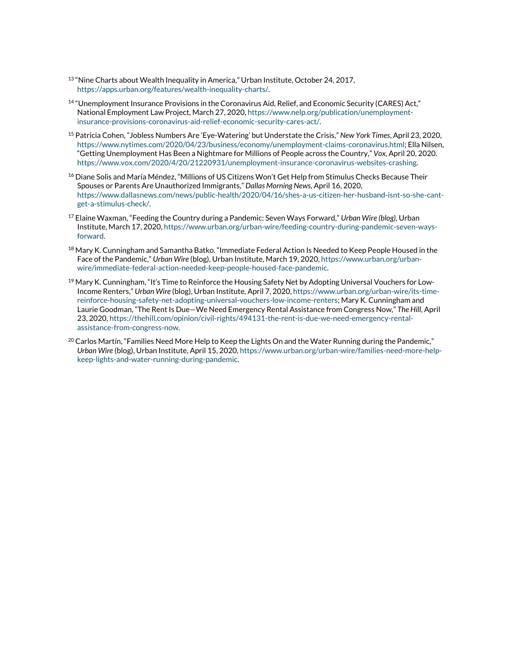- <sup>13</sup> "Nine Charts about Wealth Inequality in America," Urban Institute, October 24, 2017, [https://apps.urban.org/features/wealth-inequality-charts/.](https://apps.urban.org/features/wealth-inequality-charts/)
- <sup>14</sup> "Unemployment Insurance Provisions in the Coronavirus Aid, Relief, and Economic Security (CARES) Act," National Employment Law Project, March 27, 2020[, https://www.nelp.org/publication/unemployment](https://www.nelp.org/publication/unemployment-insurance-provisions-coronavirus-aid-relief-economic-security-cares-act/)[insurance-provisions-coronavirus-aid-relief-economic-security-cares-act/.](https://www.nelp.org/publication/unemployment-insurance-provisions-coronavirus-aid-relief-economic-security-cares-act/)
- <sup>15</sup> Patricia Cohen, "Jobless Numbers Are 'Eye-Watering' but Understate the Crisis," *New York Times*, April 23, 2020, [https://www.nytimes.com/2020/04/23/business/economy/unemployment-claims-coronavirus.html;](https://www.nytimes.com/2020/04/23/business/economy/unemployment-claims-coronavirus.html) Ella Nilsen, "Getting Unemployment Has Been a Nightmare for Millions of People across the Country," *Vox*, April 20, 2020. [https://www.vox.com/2020/4/20/21220931/unemployment-insurance-coronavirus-websites-crashing.](https://www.vox.com/2020/4/20/21220931/unemployment-insurance-coronavirus-websites-crashing)
- <sup>16</sup> Diane Solis and María Méndez, "Millions of US Citizens Won't Get Help from Stimulus Checks Because Their Spouses or Parents Are Unauthorized Immigrants," *Dallas Morning News*, April 16, 2020, [https://www.dallasnews.com/news/public-health/2020/04/16/shes-a-us-citizen-her-husband-isnt-so-she-cant](https://www.dallasnews.com/news/public-health/2020/04/16/shes-a-us-citizen-her-husband-isnt-so-she-cant-get-a-stimulus-check/)[get-a-stimulus-check/.](https://www.dallasnews.com/news/public-health/2020/04/16/shes-a-us-citizen-her-husband-isnt-so-she-cant-get-a-stimulus-check/)
- <sup>17</sup> Elaine Waxman, "Feeding the Country during a Pandemic: Seven Ways Forward," *Urban Wire (blog),* Urban Institute, March 17, 2020[, https://www.urban.org/urban-wire/feeding-country-during-pandemic-seven-ways](https://www.urban.org/urban-wire/feeding-country-during-pandemic-seven-ways-forward)[forward.](https://www.urban.org/urban-wire/feeding-country-during-pandemic-seven-ways-forward)
- <sup>18</sup> Mary K. Cunningham and Samantha Batko. "Immediate Federal Action Is Needed to Keep People Housed in the Face of the Pandemic," *Urban Wire* (blog), Urban Institute, March 19, 2020[, https://www.urban.org/urban](https://www.urban.org/urban-wire/immediate-federal-action-needed-keep-people-housed-face-pandemic)[wire/immediate-federal-action-needed-keep-people-housed-face-pandemic.](https://www.urban.org/urban-wire/immediate-federal-action-needed-keep-people-housed-face-pandemic)
- <sup>19</sup> Mary K. Cunningham, "It's Time to Reinforce the Housing Safety Net by Adopting Universal Vouchers for Low-Income Renters," *Urban Wire* (blog), Urban Institute, April 7, 2020[, https://www.urban.org/urban-wire/its-time](https://www.urban.org/urban-wire/its-time-reinforce-housing-safety-net-adopting-universal-vouchers-low-income-renters)[reinforce-housing-safety-net-adopting-universal-vouchers-low-income-renters;](https://www.urban.org/urban-wire/its-time-reinforce-housing-safety-net-adopting-universal-vouchers-low-income-renters) Mary K. Cunningham and Laurie Goodman, "The Rent Is Due—We Need Emergency Rental Assistance from Congress Now," *The Hill,* April 23, 2020[, https://thehill.com/opinion/civil-rights/494131-the-rent-is-due-we-need-emergency-rental](https://thehill.com/opinion/civil-rights/494131-the-rent-is-due-we-need-emergency-rental-assistance-from-congress-now)[assistance-from-congress-now.](https://thehill.com/opinion/civil-rights/494131-the-rent-is-due-we-need-emergency-rental-assistance-from-congress-now)
- $^{20}$  Carlos Martín, "Families Need More Help to Keep the Lights On and the Water Running during the Pandemic," *Urban Wire* (blog), Urban Institute, April 15, 2020[, https://www.urban.org/urban-wire/families-need-more-help](https://www.urban.org/urban-wire/families-need-more-help-keep-lights-and-water-running-during-pandemic)[keep-lights-and-water-running-during-pandemic.](https://www.urban.org/urban-wire/families-need-more-help-keep-lights-and-water-running-during-pandemic)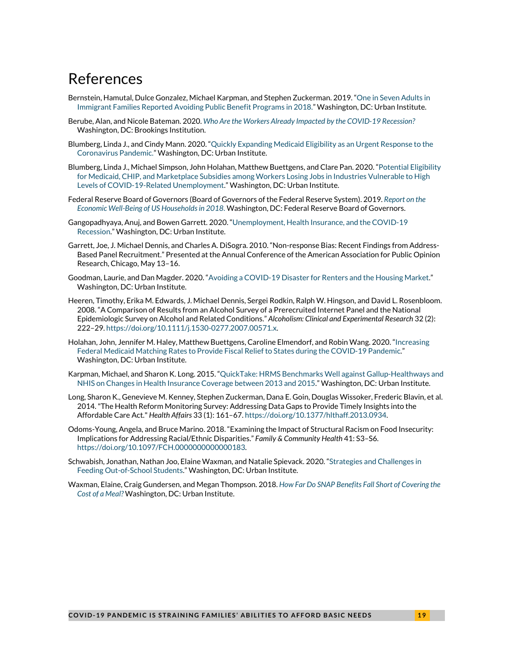# References

- Bernstein, Hamutal, Dulce Gonzalez, Michael Karpman, and Stephen Zuckerman. 2019. ["One in Seven Adults in](https://www.urban.org/research/publication/one-seven-adults-immigrant-families-reported-avoiding-public-benefit-programs-2018)  [Immigrant Families Reported Avoiding Public Benefit Programs in 2018."](https://www.urban.org/research/publication/one-seven-adults-immigrant-families-reported-avoiding-public-benefit-programs-2018) Washington, DC: Urban Institute.
- Berube, Alan, and Nicole Bateman. 2020. *[Who Are the Workers Already Impacted by the COVID-19](https://www.brookings.edu/research/who-are-the-workers-already-impacted-by-the-covid-19-recession/) Recession?* Washington, DC: Brookings Institution.
- Blumberg, Linda J., and Cindy Mann. 2020. ["Quickly Expanding Medicaid Eligibility as an Urgent Response to the](https://www.urban.org/research/publication/quickly-expanding-medicaid-eligibility-urgent-response-coronavirus-pandemic)  [Coronavirus Pandemic."](https://www.urban.org/research/publication/quickly-expanding-medicaid-eligibility-urgent-response-coronavirus-pandemic) Washington, DC: Urban Institute.
- Blumberg, Linda J., Michael Simpson, John Holahan, Matthew Buettgens, and Clare Pan. 2020. ["Potential Eligibility](https://www.urban.org/research/publication/potential-eligibility-medicaid-chip-and-marketplace-subsidies-among-workers-losing-jobs-industries-vulnerable-high-levels-covid-19-related-unemployment)  [for Medicaid, CHIP, and Marketplace Subsidies among Workers Losing Jobs in Industries Vulnerable to High](https://www.urban.org/research/publication/potential-eligibility-medicaid-chip-and-marketplace-subsidies-among-workers-losing-jobs-industries-vulnerable-high-levels-covid-19-related-unemployment)  [Levels of COVID-19-Related Unemployment."](https://www.urban.org/research/publication/potential-eligibility-medicaid-chip-and-marketplace-subsidies-among-workers-losing-jobs-industries-vulnerable-high-levels-covid-19-related-unemployment) Washington, DC: Urban Institute.
- Federal Reserve Board of Governors (Board of Governors of the Federal Reserve System). 2019. *[Report on the](https://www.federalreserve.gov/publications/2019-economic-well-being-of-us-households-in-2018-preface.htm)  [Economic Well-Being of US Households in 2018](https://www.federalreserve.gov/publications/2019-economic-well-being-of-us-households-in-2018-preface.htm)*. Washington, DC: Federal Reserve Board of Governors.
- Gangopadhyaya, Anuj, and Bowen Garrett. 2020. ["Unemployment, Health Insurance, and the COVID-19](https://www.urban.org/research/publication/unemployment-health-insurance-and-covid-19-recession) [Recession."](https://www.urban.org/research/publication/unemployment-health-insurance-and-covid-19-recession) Washington, DC: Urban Institute.
- Garrett, Joe, J. Michael Dennis, and Charles A. DiSogra. 2010. "Non-response Bias: Recent Findings from Address-Based Panel Recruitment." Presented at the Annual Conference of the American Association for Public Opinion Research, Chicago, May 13–16.
- Goodman, Laurie, and Dan Magder. 2020. "Avoiding a COVID-19 [Disaster for Renters and the Housing Market."](https://www.urban.org/research/publication/avoiding-covid-19-disaster-renters-and-housing-market) Washington, DC: Urban Institute.
- Heeren, Timothy, Erika M. Edwards, J. Michael Dennis, Sergei Rodkin, Ralph W. Hingson, and David L. Rosenbloom. 2008. "A Comparison of Results from an Alcohol Survey of a Prerecruited Internet Panel and the National Epidemiologic Survey on Alcohol and Related Conditions." *Alcoholism: Clinical and Experimental Research* 32 (2): 222–29. [https://doi.org/10.1111/j.1530-0277.2007.00571.x.](https://doi.org/10.1111/j.1530-0277.2007.00571.x)
- Holahan, John, Jennifer M. Haley, Matthew Buettgens, Caroline Elmendorf, and Robin Wang. 2020. ["Increasing](https://www.urban.org/research/publication/increasing-federal-medicaid-matching-rates-provide-fiscal-relief-states-during-covid-19-pandemic)  [Federal Medicaid Matching Rates to Provide Fiscal Relief to States during the COVID-19 Pandemic.](https://www.urban.org/research/publication/increasing-federal-medicaid-matching-rates-provide-fiscal-relief-states-during-covid-19-pandemic)" Washington, DC: Urban Institute.
- Karpman, Michael, and Sharon K. Long. 2015. ["QuickTake: HRMS Benchmarks Well against Gallup-Healthways and](http://hrms.urban.org/quicktakes/HRMS-Benchmarks-Well-against-Gallup-Healthways-and-NHIS-on-Changes-in-Health-Insurance-Coverage-between-2013-and-2015.html)  [NHIS on Changes in Health Insurance Coverage between 2013 and 2015."](http://hrms.urban.org/quicktakes/HRMS-Benchmarks-Well-against-Gallup-Healthways-and-NHIS-on-Changes-in-Health-Insurance-Coverage-between-2013-and-2015.html) Washington, DC: Urban Institute.
- Long, Sharon K., Genevieve M. Kenney, Stephen Zuckerman, Dana E. Goin, Douglas Wissoker, Frederic Blavin, et al. 2014."The Health Reform Monitoring Survey: Addressing Data Gaps to Provide Timely Insights into the Affordable Care Act." *Health Affairs* 33 (1): 161–67. [https://doi.org/10.1377/hlthaff.2013.0934.](https://doi.org/10.1377/hlthaff.2013.0934)
- Odoms-Young, Angela, and Bruce Marino. 2018. "Examining the Impact of Structural Racism on Food Insecurity: Implications for Addressing Racial/Ethnic Disparities." *Family & Community Health* 41: S3–S6. [https://doi.org/10.1097/FCH.0000000000000183.](https://doi.org/10.1097/FCH.0000000000000183)
- Schwabish, Jonathan, Nathan Joo, Elaine Waxman, and Natalie Spievack. 2020. ["Strategies and Challenges in](https://www.urban.org/research/publication/strategies-and-challenges-feeding-out-school-students)  [Feeding Out-of-School Students."](https://www.urban.org/research/publication/strategies-and-challenges-feeding-out-school-students) Washington, DC: Urban Institute.
- Waxman, Elaine, Craig Gundersen, and Megan Thompson. 2018. *[How Far Do SNAP Benefits Fall Short of Covering the](https://www.urban.org/research/publication/how-far-do-snap-benefits-fall-short-covering-cost-meal)  [Cost of a Meal?](https://www.urban.org/research/publication/how-far-do-snap-benefits-fall-short-covering-cost-meal)* Washington, DC: Urban Institute.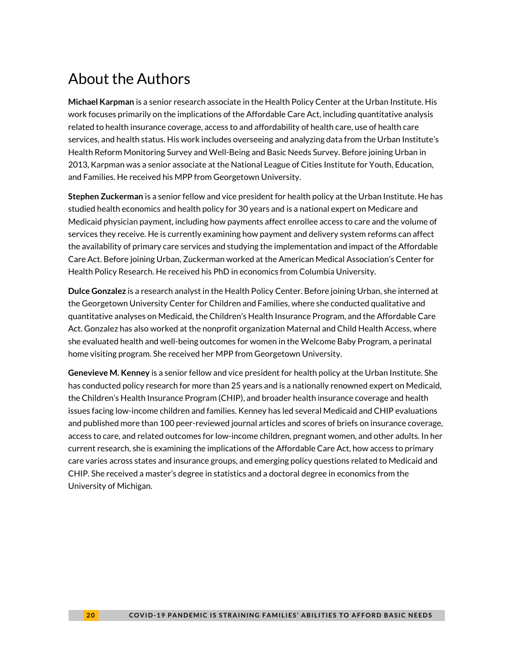# About the Authors

**Michael Karpman** is a senior research associate in the Health Policy Center at the Urban Institute. His work focuses primarily on the implications of the Affordable Care Act, including quantitative analysis related to health insurance coverage, access to and affordability of health care, use of health care services, and health status. His work includes overseeing and analyzing data from the Urban Institute's Health Reform Monitoring Survey and Well-Being and Basic Needs Survey. Before joining Urban in 2013, Karpman was a senior associate at the National League of Cities Institute for Youth, Education, and Families. He received his MPP from Georgetown University.

**Stephen Zuckerman** is a senior fellow and vice president for health policy at the Urban Institute. He has studied health economics and health policy for 30 years and is a national expert on Medicare and Medicaid physician payment, including how payments affect enrollee access to care and the volume of services they receive. He is currently examining how payment and delivery system reforms can affect the availability of primary care services and studying the implementation and impact of the Affordable Care Act. Before joining Urban, Zuckerman worked at the American Medical Association's Center for Health Policy Research. He received his PhD in economics from Columbia University.

**Dulce Gonzalez** is a research analyst in the Health Policy Center. Before joining Urban, she interned at the Georgetown University Center for Children and Families, where she conducted qualitative and quantitative analyses on Medicaid, the Children's Health Insurance Program, and the Affordable Care Act. Gonzalez has also worked at the nonprofit organization Maternal and Child Health Access, where she evaluated health and well-being outcomes for women in the Welcome Baby Program, a perinatal home visiting program. She received her MPP from Georgetown University.

**Genevieve M. Kenney** is a senior fellow and vice president for health policy at the Urban Institute. She has conducted policy research for more than 25 years and is a nationally renowned expert on Medicaid, the Children's Health Insurance Program (CHIP), and broader health insurance coverage and health issues facing low-income children and families. Kenney has led several Medicaid and CHIP evaluations and published more than 100 peer-reviewed journal articles and scores of briefs on insurance coverage, access to care, and related outcomes for low-income children, pregnant women, and other adults. In her current research, she is examining the implications of the Affordable Care Act, how access to primary care varies across states and insurance groups, and emerging policy questions related to Medicaid and CHIP. She received a master's degree in statistics and a doctoral degree in economics from the University of Michigan.